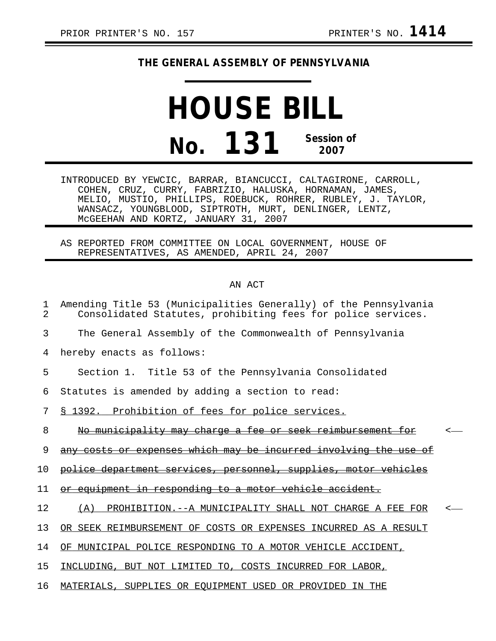## **THE GENERAL ASSEMBLY OF PENNSYLVANIA**

## **HOUSE BILL No. 131 Session of 2007**

INTRODUCED BY YEWCIC, BARRAR, BIANCUCCI, CALTAGIRONE, CARROLL, COHEN, CRUZ, CURRY, FABRIZIO, HALUSKA, HORNAMAN, JAMES, MELIO, MUSTIO, PHILLIPS, ROEBUCK, ROHRER, RUBLEY, J. TAYLOR, WANSACZ, YOUNGBLOOD, SIPTROTH, MURT, DENLINGER, LENTZ, McGEEHAN AND KORTZ, JANUARY 31, 2007

AS REPORTED FROM COMMITTEE ON LOCAL GOVERNMENT, HOUSE OF REPRESENTATIVES, AS AMENDED, APRIL 24, 2007

## AN ACT

| 1<br>$\mathcal{L}$ | Amending Title 53 (Municipalities Generally) of the Pennsylvania<br>Consolidated Statutes, prohibiting fees for police services. |  |
|--------------------|----------------------------------------------------------------------------------------------------------------------------------|--|
| 3                  | The General Assembly of the Commonwealth of Pennsylvania                                                                         |  |
| 4                  | hereby enacts as follows:                                                                                                        |  |
| 5                  | Section 1. Title 53 of the Pennsylvania Consolidated                                                                             |  |
| 6                  | Statutes is amended by adding a section to read:                                                                                 |  |
| 7                  | § 1392. Prohibition of fees for police services.                                                                                 |  |
| 8                  | No municipality may charge a fee or seek reimbursement for                                                                       |  |
| 9                  | any costs or expenses which may be incurred involving the use                                                                    |  |
| $10 \,$            | police department services, personnel, supplies, motor vehicles                                                                  |  |
| 11                 | equipment in responding to a motor vehicle accident.                                                                             |  |
| 12                 | PROHIBITION.--A MUNICIPALITY SHALL NOT CHARGE A FEE FOR<br>(A)                                                                   |  |
| 13                 | OR SEEK REIMBURSEMENT OF COSTS OR EXPENSES INCURRED AS A RESULT                                                                  |  |
| 14                 | OF MUNICIPAL POLICE RESPONDING TO A MOTOR VEHICLE ACCIDENT,                                                                      |  |
| 15                 | INCLUDING, BUT NOT LIMITED TO, COSTS INCURRED FOR LABOR,                                                                         |  |
| 16                 | MATERIALS, SUPPLIES OR EQUIPMENT USED OR PROVIDED IN THE                                                                         |  |